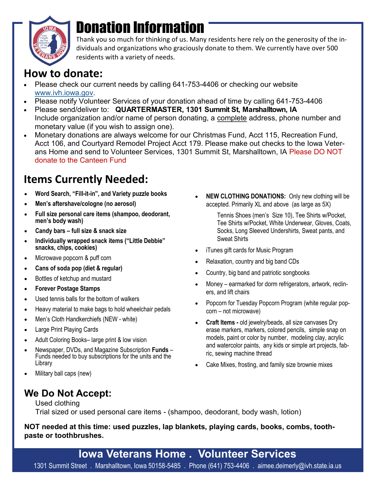

# Donation Information

Thank you so much for thinking of us. Many residents here rely on the generosity of the individuals and organizations who graciously donate to them. We currently have over 500 residents with a variety of needs.

#### **How to donate:**

- Please check our current needs by calling 641-753-4406 or checking our website [www.ivh.iowa.gov.](http://www.ivh.iowa.gov)
- Please notify Volunteer Services of your donation ahead of time by calling 641-753-4406
- Please send/deliver to: **QUARTERMASTER, 1301 Summit St, Marshalltown, IA**  Include organization and/or name of person donating, a complete address, phone number and monetary value (if you wish to assign one).
- Monetary donations are always welcome for our Christmas Fund, Acct 115, Recreation Fund, Acct 106, and Courtyard Remodel Project Acct 179. Please make out checks to the Iowa Veterans Home and send to Volunteer Services, 1301 Summit St, Marshalltown, IA Please DO NOT donate to the Canteen Fund

### **Items Currently Needed:**

- **Word Search, "Fill-it-in", and Variety puzzle books**
- **Men's aftershave/cologne (no aerosol)**
- **Full size personal care items (shampoo, deodorant, men's body wash)**
- **Candy bars – full size & snack size**
- **Individually wrapped snack items ("Little Debbie" snacks, chips, cookies)**
- Microwave popcorn & puff corn
- **Cans of soda pop (diet & regular)**
- Bottles of ketchup and mustard
- **Forever Postage Stamps**
- Used tennis balls for the bottom of walkers
- Heavy material to make bags to hold wheelchair pedals
- Men's Cloth Handkerchiefs (NEW white)
- Large Print Playing Cards
- Adult Coloring Books– large print & low vision
- Newspaper, DVDs, and Magazine Subscription **Funds** Funds needed to buy subscriptions for the units and the Library
- Military ball caps (new)

#### **We Do Not Accept:**

 **NEW CLOTHING DONATIONS:** Only new clothing will be accepted. Primarily XL and above (as large as 5X)

> Tennis Shoes (men's Size 10), Tee Shirts w/Pocket, Tee Shirts w/Pocket, White Underwear, Gloves, Coats, Socks, Long Sleeved Undershirts, Sweat pants, and Sweat Shirts

- iTunes gift cards for Music Program
- Relaxation, country and big band CDs
- Country, big band and patriotic songbooks
- Money earmarked for dorm refrigerators, artwork, recliners, and lift chairs
- Popcorn for Tuesday Popcorn Program (white regular popcorn – not microwave)
- **Craft Items -** old jewelry/beads, all size canvases Dry erase markers, markers, colored pencils, simple snap on models, paint or color by number, modeling clay, acrylic and watercolor paints, any kids or simple art projects, fabric, sewing machine thread
- Cake Mixes, frosting, and family size brownie mixes

Used clothing Trial sized or used personal care items - (shampoo, deodorant, body wash, lotion)

**NOT needed at this time: used puzzles, lap blankets, playing cards, books, combs, toothpaste or toothbrushes.**

**Iowa Veterans Home . Volunteer Services** 1301 Summit Street . Marshalltown, Iowa 50158-5485 . Phone (641) 753-4406 . aimee.deimerly@ivh.state.ia.us